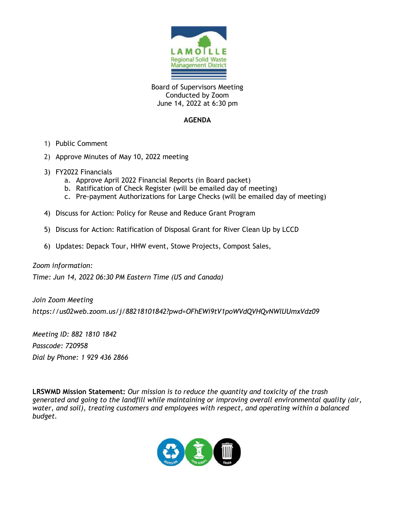

Board of Supervisors Meeting Conducted by Zoom June 14, 2022 at 6:30 pm

## **AGENDA**

- 1) Public Comment
- 2) Approve Minutes of May 10, 2022 meeting
- 3) FY2022 Financials
	- a. Approve April 2022 Financial Reports (in Board packet)
	- b. Ratification of Check Register (will be emailed day of meeting)
	- c. Pre-payment Authorizations for Large Checks (will be emailed day of meeting)
- 4) Discuss for Action: Policy for Reuse and Reduce Grant Program
- 5) Discuss for Action: Ratification of Disposal Grant for River Clean Up by LCCD
- 6) Updates: Depack Tour, HHW event, Stowe Projects, Compost Sales,

#### *Zoom information:*

*Time: Jun 14, 2022 06:30 PM Eastern Time (US and Canada)*

*Join Zoom Meeting https://us02web.zoom.us/j/88218101842?pwd=OFhEWi9tV1poWVdQVHQvNWlUUmxVdz09*

*Meeting ID: 882 1810 1842 Passcode: 720958 Dial by Phone: 1 929 436 2866* 

**LRSWMD Mission Statement:** *Our mission is to reduce the quantity and toxicity of the trash generated and going to the landfill while maintaining or improving overall environmental quality (air, water, and soil), treating customers and employees with respect, and operating within a balanced budget.*

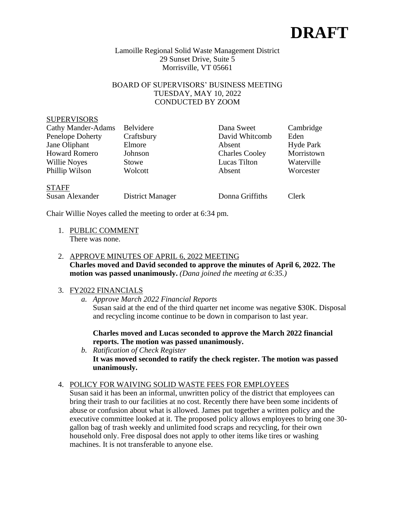

#### Lamoille Regional Solid Waste Management District 29 Sunset Drive, Suite 5 Morrisville, VT 05661

# BOARD OF SUPERVISORS' BUSINESS MEETING TUESDAY, MAY 10, 2022 CONDUCTED BY ZOOM

#### **SUPERVISORS**

| <b>Cathy Mander-Adams</b> | Belvidere  | Dana Sweet            | Cambridge  |
|---------------------------|------------|-----------------------|------------|
| Penelope Doherty          | Craftsbury | David Whitcomb        | Eden       |
| Jane Oliphant             | Elmore     | Absent                | Hyde Park  |
| <b>Howard Romero</b>      | Johnson    | <b>Charles Cooley</b> | Morristown |
| Willie Noyes              | Stowe      | Lucas Tilton          | Waterville |
| Phillip Wilson            | Wolcott    | Absent                | Worcester  |
|                           |            |                       |            |

#### STAFF

Susan Alexander District Manager Donna Griffiths Clerk

Chair Willie Noyes called the meeting to order at 6:34 pm.

- 1. PUBLIC COMMENT There was none.
- 2. APPROVE MINUTES OF APRIL 6, 2022 MEETING **Charles moved and David seconded to approve the minutes of April 6, 2022. The motion was passed unanimously.** *(Dana joined the meeting at 6:35.)*

# 3. FY2022 FINANCIALS

*a. Approve March 2022 Financial Reports*

Susan said at the end of the third quarter net income was negative \$30K. Disposal and recycling income continue to be down in comparison to last year.

**Charles moved and Lucas seconded to approve the March 2022 financial reports. The motion was passed unanimously.**

*b. Ratification of Check Register* **It was moved seconded to ratify the check register. The motion was passed unanimously.**

# 4. POLICY FOR WAIVING SOLID WASTE FEES FOR EMPLOYEES

Susan said it has been an informal, unwritten policy of the district that employees can bring their trash to our facilities at no cost. Recently there have been some incidents of abuse or confusion about what is allowed. James put together a written policy and the executive committee looked at it. The proposed policy allows employees to bring one 30 gallon bag of trash weekly and unlimited food scraps and recycling, for their own household only. Free disposal does not apply to other items like tires or washing machines. It is not transferable to anyone else.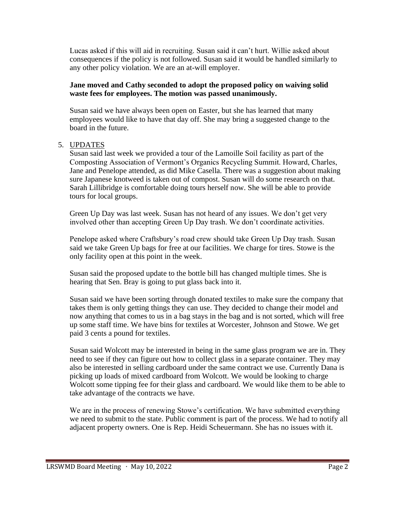Lucas asked if this will aid in recruiting. Susan said it can't hurt. Willie asked about consequences if the policy is not followed. Susan said it would be handled similarly to any other policy violation. We are an at-will employer.

## **Jane moved and Cathy seconded to adopt the proposed policy on waiving solid waste fees for employees. The motion was passed unanimously.**

Susan said we have always been open on Easter, but she has learned that many employees would like to have that day off. She may bring a suggested change to the board in the future.

## 5. UPDATES

Susan said last week we provided a tour of the Lamoille Soil facility as part of the Composting Association of Vermont's Organics Recycling Summit. Howard, Charles, Jane and Penelope attended, as did Mike Casella. There was a suggestion about making sure Japanese knotweed is taken out of compost. Susan will do some research on that. Sarah Lillibridge is comfortable doing tours herself now. She will be able to provide tours for local groups.

Green Up Day was last week. Susan has not heard of any issues. We don't get very involved other than accepting Green Up Day trash. We don't coordinate activities.

Penelope asked where Craftsbury's road crew should take Green Up Day trash. Susan said we take Green Up bags for free at our facilities. We charge for tires. Stowe is the only facility open at this point in the week.

Susan said the proposed update to the bottle bill has changed multiple times. She is hearing that Sen. Bray is going to put glass back into it.

Susan said we have been sorting through donated textiles to make sure the company that takes them is only getting things they can use. They decided to change their model and now anything that comes to us in a bag stays in the bag and is not sorted, which will free up some staff time. We have bins for textiles at Worcester, Johnson and Stowe. We get paid 3 cents a pound for textiles.

Susan said Wolcott may be interested in being in the same glass program we are in. They need to see if they can figure out how to collect glass in a separate container. They may also be interested in selling cardboard under the same contract we use. Currently Dana is picking up loads of mixed cardboard from Wolcott. We would be looking to charge Wolcott some tipping fee for their glass and cardboard. We would like them to be able to take advantage of the contracts we have.

We are in the process of renewing Stowe's certification. We have submitted everything we need to submit to the state. Public comment is part of the process. We had to notify all adjacent property owners. One is Rep. Heidi Scheuermann. She has no issues with it.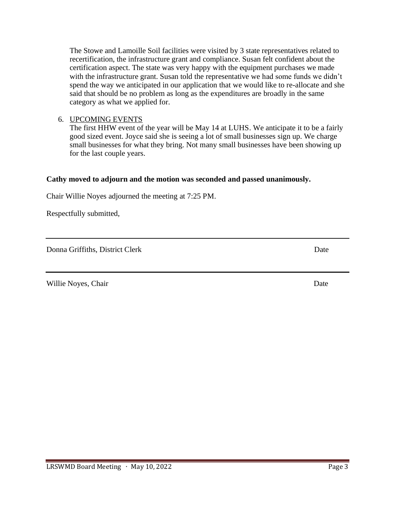6. UPCOMING EVENTS The first HHW event of the year will be May 14 at LUHS. We anticipate it to be a fairly good sized event. Joyce said she is seeing a lot of small businesses sign up. We charge small businesses for what they bring. Not many small businesses have been showing up for the last couple years.

## **Cathy moved to adjourn and the motion was seconded and passed unanimously.**

Chair Willie Noyes adjourned the meeting at 7:25 PM.

Respectfully submitted,

Donna Griffiths, District Clerk Date

Willie Noyes, Chair Date and Solution and Solution and Solution and Date Date Date Date

The Stowe and Lamoille Soil facilities were visited by 3 state representatives related to recertification, the infrastructure grant and compliance. Susan felt confident about the certification aspect. The state was very happy with the equipment purchases we made with the infrastructure grant. Susan told the representative we had some funds we didn't spend the way we anticipated in our application that we would like to re-allocate and she said that should be no problem as long as the expenditures are broadly in the same category as what we applied for.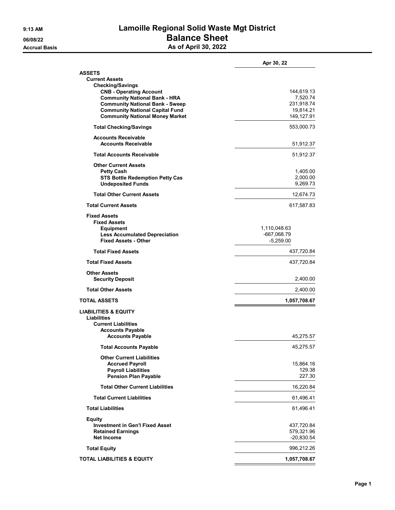# **9:13 AM Lamoille Regional Solid Waste Mgt District 06/08/22 Balance Sheet Accrual Basis As of April 30, 2022**

|                                                             | Apr 30, 22           |
|-------------------------------------------------------------|----------------------|
| ASSETS                                                      |                      |
| <b>Current Assets</b>                                       |                      |
| <b>Checking/Savings</b><br><b>CNB - Operating Account</b>   | 144,619.13           |
| <b>Community National Bank - HRA</b>                        | 7,520.74             |
| <b>Community National Bank - Sweep</b>                      | 231,918.74           |
| <b>Community National Capital Fund</b>                      | 19,814.21            |
| <b>Community National Money Market</b>                      | 149,127.91           |
| <b>Total Checking/Savings</b>                               | 553,000.73           |
| <b>Accounts Receivable</b><br><b>Accounts Receivable</b>    | 51,912.37            |
|                                                             |                      |
| <b>Total Accounts Receivable</b>                            | 51,912.37            |
| <b>Other Current Assets</b>                                 |                      |
| <b>Petty Cash</b><br><b>STS Bottle Redemption Petty Cas</b> | 1,405.00<br>2,000.00 |
| <b>Undeposited Funds</b>                                    | 9,269.73             |
| <b>Total Other Current Assets</b>                           | 12,674.73            |
| <b>Total Current Assets</b>                                 | 617,587.83           |
| <b>Fixed Assets</b>                                         |                      |
| <b>Fixed Assets</b>                                         |                      |
| <b>Equipment</b>                                            | 1,110,048.63         |
| <b>Less Accumulated Depreciation</b>                        | -667,068.79          |
| <b>Fixed Assets - Other</b>                                 | $-5,259.00$          |
| <b>Total Fixed Assets</b>                                   | 437,720.84           |
| <b>Total Fixed Assets</b>                                   | 437,720.84           |
| <b>Other Assets</b>                                         |                      |
| <b>Security Deposit</b>                                     | 2,400.00             |
| <b>Total Other Assets</b>                                   | 2,400.00             |
| TOTAL ASSETS                                                | 1,057,708.67         |
| <b>LIABILITIES &amp; EQUITY</b>                             |                      |
| Liabilities                                                 |                      |
| <b>Current Liabilities</b><br><b>Accounts Payable</b>       |                      |
| <b>Accounts Payable</b>                                     | 45,275.57            |
| <b>Total Accounts Payable</b>                               | 45,275.57            |
| <b>Other Current Liabilities</b>                            |                      |
| <b>Accrued Payroll</b>                                      | 15,864.16            |
| <b>Payroll Liabilities</b>                                  | 129.38               |
| <b>Pension Plan Payable</b>                                 | 227.30               |
| <b>Total Other Current Liabilities</b>                      | 16,220.84            |
| <b>Total Current Liabilities</b>                            | 61,496.41            |
| <b>Total Liabilities</b>                                    | 61,496.41            |
| <b>Equity</b>                                               |                      |
| <b>Investment in Gen'l Fixed Asset</b>                      | 437,720.84           |
| <b>Retained Earnings</b>                                    | 579,321.96           |
| <b>Net Income</b>                                           | $-20,830.54$         |
| <b>Total Equity</b>                                         | 996,212.26           |
| TOTAL LIABILITIES & EQUITY                                  | 1,057,708.67         |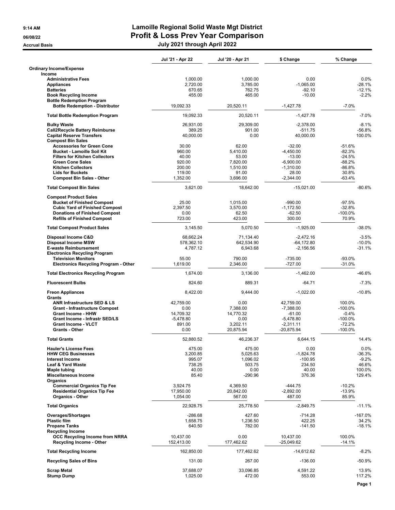|                                                                            | Jul '21 - Apr 22        | Jul '20 - Apr 21     | \$ Change                 | % Change             |
|----------------------------------------------------------------------------|-------------------------|----------------------|---------------------------|----------------------|
| <b>Ordinary Income/Expense</b><br>Income                                   |                         |                      |                           |                      |
| <b>Administrative Fees</b>                                                 | 1,000.00                | 1,000.00             | 0.00                      | 0.0%                 |
| <b>Appliances</b>                                                          | 2,720.00                | 3,785.00             | $-1,065.00$               | $-28.1%$             |
| <b>Batteries</b>                                                           | 670.65                  | 762.75               | $-92.10$                  | $-12.1%$<br>$-2.2%$  |
| <b>Book Recycling Income</b><br><b>Bottle Redemption Program</b>           | 455.00                  | 465.00               | $-10.00$                  |                      |
| <b>Bottle Redemption - Distributor</b>                                     | 19,092.33               | 20,520.11            | $-1,427.78$               | $-7.0%$              |
| <b>Total Bottle Redemption Program</b>                                     | 19,092.33               | 20,520.11            | $-1,427.78$               | $-7.0%$              |
| <b>Bulky Waste</b>                                                         | 26,931.00               | 29,309.00            | $-2.378.00$               | $-8.1%$              |
| <b>Call2Recycle Battery Reimburse</b>                                      | 389.25                  | 901.00               | $-511.75$                 | $-56.8%$             |
| <b>Capital Reserve Transfers</b>                                           | 40.000.00               | 0.00                 | 40,000.00                 | 100.0%               |
| <b>Compost Bin Sales</b>                                                   |                         |                      |                           |                      |
| <b>Accessories for Green Cone</b><br><b>Bucket - Lamoille Soil Kit</b>     | 30.00<br>960.00         | 62.00<br>5,410.00    | $-32.00$<br>$-4,450.00$   | $-51.6%$<br>$-82.3%$ |
| <b>Filters for Kitchen Collectors</b>                                      | 40.00                   | 53.00                | $-13.00$                  | $-24.5%$             |
| <b>Green Cone Sales</b>                                                    | 920.00                  | 7,820.00             | $-6,900.00$               | $-88.2%$             |
| <b>Kitchen Collectors</b>                                                  | 200.00                  | 1,510.00             | $-1,310.00$               | -86.8%               |
| <b>Lids for Buckets</b>                                                    | 119.00                  | 91.00                | 28.00                     | 30.8%                |
| <b>Compost Bin Sales - Other</b>                                           | 1,352.00                | 3,696.00             | $-2,344.00$               | $-63.4%$             |
| <b>Total Compost Bin Sales</b>                                             | 3,621.00                | 18,642.00            | $-15,021.00$              | $-80.6%$             |
| <b>Compost Product Sales</b>                                               |                         |                      |                           |                      |
| <b>Bucket of Finished Compost</b><br><b>Cubic Yard of Finished Compost</b> | 25.00<br>2,397.50       | 1,015.00<br>3,570.00 | $-990.00$<br>$-1,172.50$  | $-97.5%$<br>$-32.8%$ |
| <b>Donations of Finished Compost</b>                                       | 0.00                    | 62.50                | $-62.50$                  | $-100.0%$            |
| <b>Refills of Finished Compost</b>                                         | 723.00                  | 423.00               | 300.00                    | 70.9%                |
| <b>Total Compost Product Sales</b>                                         | 3,145.50                | 5,070.50             | $-1,925.00$               | $-38.0%$             |
| Disposal Income C&D                                                        | 68,662.24               | 71,134.40            | $-2,472.16$               | $-3.5%$              |
| <b>Disposal Income MSW</b>                                                 | 578,362.10              | 642,534.90           | $-64, 172.80$             | $-10.0%$             |
| <b>E-waste Reimbursement</b>                                               | 4,787.12                | 6,943.68             | $-2,156.56$               | $-31.1%$             |
| <b>Electronics Recycling Program</b>                                       |                         |                      |                           |                      |
| <b>Television Monitors</b><br>Electronics Recycling Program - Other        | 55.00<br>1,619.00       | 790.00<br>2,346.00   | $-735.00$<br>$-727.00$    | $-93.0%$<br>$-31.0%$ |
| <b>Total Electronics Recycling Program</b>                                 | 1,674.00                | 3,136.00             | $-1,462.00$               | -46.6%               |
| <b>Fluorescent Bulbs</b>                                                   | 824.60                  | 889.31               | $-64.71$                  | $-7.3%$              |
| <b>Freon Appliances</b><br>Grants                                          | 8,422.00                | 9,444.00             | $-1,022.00$               | $-10.8%$             |
| ANR Infrastructure SED & LS                                                | 42,759.00               | 0.00                 | 42,759.00                 | 100.0%               |
| <b>Grant - Infrastructure Compost</b>                                      | 0.00                    | 7,388.00             | $-7,388.00$               | $-100.0\%$           |
| <b>Grant Income - HHW</b>                                                  | 14,709.32               | 14,770.32            | $-61.00$                  | $-0.4%$              |
| Grant Income - Infrastr SED/LS                                             | $-5,478.80$             | 0.00                 | $-5,478.80$               | $-100.0%$            |
| <b>Grant Income - VLCT</b>                                                 | 891.00                  | 3,202.11             | $-2,311.11$               | $-72.2%$             |
| <b>Grants - Other</b>                                                      | 0.00                    | 20,875.94            | $-20,875.94$              | $-100.0%$            |
| <b>Total Grants</b>                                                        | 52,880.52               | 46,236.37            | 6,644.15                  | 14.4%                |
| <b>Hauler's License Fees</b>                                               | 475.00                  | 475.00               | 0.00                      | 0.0%                 |
| <b>HHW CEG Businesses</b>                                                  | 3,200.85                | 5.025.63             | -1,824.78                 | $-36.3%$             |
| <b>Interest Income</b><br><b>Leaf &amp; Yard Waste</b>                     | 995.07<br>738.25        | 1,096.02<br>503.75   | $-100.95$<br>234.50       | $-9.2%$<br>46.6%     |
| <b>Maple tubing</b>                                                        | 40.00                   | 0.00                 | 40.00                     | 100.0%               |
| Miscellaneous Income                                                       | 85.40                   | $-290.96$            | 376.36                    | 129.4%               |
| Organics                                                                   |                         |                      |                           |                      |
| <b>Commercial Organics Tip Fee</b>                                         | 3,924.75                | 4,369.50             | $-444.75$                 | $-10.2%$             |
| <b>Residential Organics Tip Fee</b><br><b>Organics - Other</b>             | 17,950.00<br>1,054.00   | 20,842.00<br>567.00  | $-2,892.00$<br>487.00     | $-13.9%$<br>85.9%    |
| <b>Total Organics</b>                                                      | 22,928.75               | 25,778.50            | $-2,849.75$               | $-11.1%$             |
| Overages/Shortages                                                         | $-286.68$               | 427.60               | $-714.28$                 | $-167.0%$            |
| <b>Plastic film</b>                                                        | 1,658.75                | 1,236.50             | 422.25                    | 34.2%                |
| <b>Propane Tanks</b>                                                       | 640.50                  | 782.00               | $-141.50$                 | $-18.1%$             |
| <b>Recycling Income</b>                                                    |                         |                      |                           |                      |
| <b>OCC Recycling Income from NRRA</b><br><b>Recycling Income - Other</b>   | 10,437.00<br>152,413.00 | 0.00<br>177,462.62   | 10,437.00<br>$-25,049.62$ | 100.0%<br>$-14.1%$   |
| <b>Total Recycling Income</b>                                              | 162,850.00              | 177,462.62           | $-14,612.62$              | $-8.2%$              |
| <b>Recycling Sales of Bins</b>                                             | 131.00                  | 267.00               | $-136.00$                 | -50.9%               |
| <b>Scrap Metal</b><br><b>Stump Dump</b>                                    | 37,688.07<br>1,025.00   | 33,096.85<br>472.00  | 4,591.22<br>553.00        | 13.9%<br>117.2%      |
|                                                                            |                         |                      |                           | Page 1               |
|                                                                            |                         |                      |                           |                      |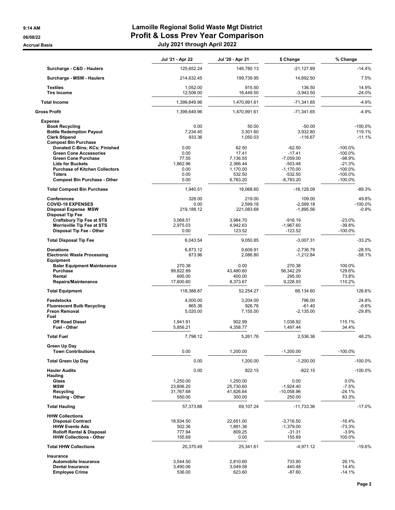|                                                                                                                                                                                                                          | Jul '21 - Apr 22                                          | Jul '20 - Apr 21                                                         | \$ Change                                                                                   | % Change                                                                               |
|--------------------------------------------------------------------------------------------------------------------------------------------------------------------------------------------------------------------------|-----------------------------------------------------------|--------------------------------------------------------------------------|---------------------------------------------------------------------------------------------|----------------------------------------------------------------------------------------|
| Surcharge - C&D - Haulers                                                                                                                                                                                                | 125,652.24                                                | 146,780.13                                                               | $-21,127.89$                                                                                | $-14.4%$                                                                               |
| Surcharge - MSW - Haulers                                                                                                                                                                                                | 214,632.45                                                | 199,739.95                                                               | 14,892.50                                                                                   | 7.5%                                                                                   |
| <b>Textiles</b><br><b>Tire Income</b>                                                                                                                                                                                    | 1,052.00<br>12.506.00                                     | 915.50<br>16,449.50                                                      | 136.50<br>$-3,943.50$                                                                       | 14.9%<br>$-24.0%$                                                                      |
| <b>Total Income</b>                                                                                                                                                                                                      | 1,399,649.96                                              | 1,470,991.61                                                             | $-71,341.65$                                                                                | $-4.9%$                                                                                |
| <b>Gross Profit</b>                                                                                                                                                                                                      | 1,399,649.96                                              | 1,470,991.61                                                             | -71,341.65                                                                                  | $-4.9%$                                                                                |
| <b>Expense</b>                                                                                                                                                                                                           |                                                           |                                                                          |                                                                                             |                                                                                        |
| <b>Book Recycling</b><br><b>Bottle Redemption Payout</b><br><b>Clerk Stipend</b><br><b>Compost Bin Purchase</b>                                                                                                          | 0.00<br>7,234.40<br>933.36                                | 50.00<br>3,301.60<br>1,050.03                                            | $-50.00$<br>3,932.80<br>$-116.67$                                                           | $-100.0%$<br>119.1%<br>$-11.1%$                                                        |
| Donated C-Bins; KCs; Finished<br><b>Green Cone Accessories</b><br><b>Green Cone Purchase</b><br><b>Lids for Buckets</b><br><b>Purchase of Kitchen Collectors</b><br><b>Toters</b><br><b>Compost Bin Purchase - Other</b> | 0.00<br>0.00<br>77.55<br>1,862.96<br>0.00<br>0.00<br>0.00 | 62.50<br>17.41<br>7,136.55<br>2,366.44<br>1,170.00<br>532.50<br>6,783.20 | $-62.50$<br>$-17.41$<br>$-7,059.00$<br>$-503.48$<br>$-1,170.00$<br>$-532.50$<br>$-6,783.20$ | $-100.0%$<br>$-100.0%$<br>$-98.9%$<br>$-21.3%$<br>$-100.0%$<br>$-100.0\%$<br>$-100.0%$ |
| <b>Total Compost Bin Purchase</b>                                                                                                                                                                                        | 1,940.51                                                  | 18,068.60                                                                | $-16, 128.09$                                                                               | $-89.3%$                                                                               |
| <b>Conferences</b><br><b>COVID-19 EXPENSES</b><br><b>Disposal Expense MSW</b><br><b>Disposal Tip Fee</b><br><b>Craftsbury Tip Fee at STS</b>                                                                             | 328.00<br>0.00<br>219,188.12<br>3,068.51                  | 219.00<br>2,599.18<br>221,083.68<br>3,984.70                             | 109.00<br>$-2,599.18$<br>$-1,895.56$<br>$-916.19$                                           | 49.8%<br>$-100.0%$<br>$-0.9%$<br>$-23.0%$                                              |
| <b>Morrisville Tip Fee at STS</b><br>Disposal Tip Fee - Other                                                                                                                                                            | 2,975.03<br>0.00                                          | 4,942.63<br>123.52                                                       | $-1,967.60$<br>$-123.52$                                                                    | $-39.8%$<br>$-100.0%$                                                                  |
| <b>Total Disposal Tip Fee</b>                                                                                                                                                                                            | 6,043.54                                                  | 9,050.85                                                                 | $-3,007.31$                                                                                 | $-33.2%$                                                                               |
| <b>Donations</b><br><b>Electronic Waste Processing</b><br>Equipment                                                                                                                                                      | 6,873.12<br>873.96                                        | 9,609.91<br>2,086.80                                                     | $-2,736.79$<br>$-1,212.84$                                                                  | $-28.5%$<br>$-58.1%$                                                                   |
| <b>Baler Equipment Maintenance</b><br>Purchase<br>Rental<br>Repairs/Maintenance                                                                                                                                          | 270.38<br>99,822.89<br>695.00<br>17,600.60                | 0.00<br>43,480.60<br>400.00<br>8,373.67                                  | 270.38<br>56,342.29<br>295.00<br>9,226.93                                                   | 100.0%<br>129.6%<br>73.8%<br>110.2%                                                    |
| <b>Total Equipment</b>                                                                                                                                                                                                   | 118,388.87                                                | 52,254.27                                                                | 66,134.60                                                                                   | 126.6%                                                                                 |
| <b>Feedstocks</b><br><b>Fluorescent Bulb Recycling</b><br><b>Freon Removal</b><br>Fuel                                                                                                                                   | 4,000.00<br>865.36<br>5,020.00                            | 3,204.00<br>926.76<br>7,155.00                                           | 796.00<br>$-61.40$<br>$-2,135.00$                                                           | 24.8%<br>$-6.6%$<br>$-29.8%$                                                           |
| <b>Off Road Diesel</b><br><b>Fuel - Other</b>                                                                                                                                                                            | 1,941.91<br>5,856.21                                      | 902.99<br>4,358.77                                                       | 1,038.92<br>1,497.44                                                                        | 115.1%<br>34.4%                                                                        |
| <b>Total Fuel</b>                                                                                                                                                                                                        | 7,798.12                                                  | 5,261.76                                                                 | 2,536.36                                                                                    | 48.2%                                                                                  |
| Green Up Day<br><b>Town Contributions</b>                                                                                                                                                                                | 0.00                                                      | 1,200.00                                                                 | $-1,200.00$                                                                                 | $-100.0%$                                                                              |
| <b>Total Green Up Day</b>                                                                                                                                                                                                | 0.00                                                      | 1,200.00                                                                 | $-1,200.00$                                                                                 | $-100.0%$                                                                              |
| <b>Hauler Audits</b><br><b>Hauling</b><br>Glass<br><b>MSW</b><br>Recycling<br><b>Hauling - Other</b>                                                                                                                     | 0.00<br>1.250.00<br>23,806.20<br>31,767.68<br>550.00      | 822.15<br>1,250.00<br>25,730.60<br>41,826.64<br>300.00                   | $-822.15$<br>0.00<br>$-1.924.40$<br>$-10,058.96$<br>250.00                                  | $-100.0%$<br>0.0%<br>$-7.5%$<br>$-24.1%$<br>83.3%                                      |
| <b>Total Hauling</b>                                                                                                                                                                                                     | 57,373.88                                                 | 69,107.24                                                                | -11,733.36                                                                                  | $-17.0%$                                                                               |
| <b>HHW Collections</b><br><b>Disposal Contract</b><br><b>HHW Events Ads</b><br><b>Rolloff Rental &amp; Disposal</b><br><b>HHW Collections - Other</b>                                                                    | 18,934.50<br>502.36<br>777.94<br>155.69                   | 22,651.00<br>1,881.36<br>809.25<br>0.00                                  | $-3,716.50$<br>$-1,379.00$<br>$-31.31$<br>155.69                                            | $-16.4%$<br>$-73.3%$<br>$-3.9%$<br>100.0%                                              |
| <b>Total HHW Collections</b>                                                                                                                                                                                             | 20,370.49                                                 | 25,341.61                                                                | $-4,971.12$                                                                                 | $-19.6%$                                                                               |
| Insurance<br><b>Automobile Insurance</b><br><b>Dental Insurance</b><br><b>Employee Crime</b>                                                                                                                             | 3,544.50<br>3,490.06<br>536.00                            | 2,810.60<br>3,049.58<br>623.60                                           | 733.90<br>440.48<br>$-87.60$                                                                | 26.1%<br>14.4%<br>$-14.1%$                                                             |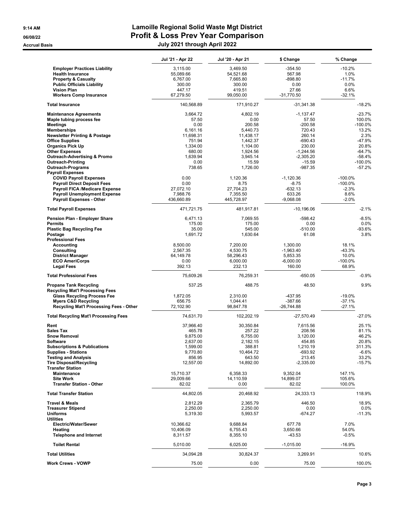|                                                                         | Jul '21 - Apr 22       | Jul '20 - Apr 21       | \$ Change             | % Change         |
|-------------------------------------------------------------------------|------------------------|------------------------|-----------------------|------------------|
| <b>Employer Practices Liability</b>                                     | 3,115.00               | 3,469.50               | $-354.50$             | $-10.2%$         |
| <b>Health Insurance</b>                                                 | 55,089.66              | 54,521.68              | 567.98                | 1.0%             |
| <b>Property &amp; Casualty</b>                                          | 6,767.00               | 7,665.80               | $-898.80$             | $-11.7%$         |
| <b>Public Officials Liability</b>                                       | 300.00                 | 300.00                 | 0.00                  | 0.0%             |
| <b>Vision Plan</b>                                                      | 447.17                 | 419.51                 | 27.66                 | 6.6%             |
| <b>Workers Comp Insurance</b>                                           | 67,279.50              | 99,050.00              | $-31,770.50$          | $-32.1%$         |
| <b>Total Insurance</b>                                                  | 140,568.89             | 171,910.27             | $-31,341.38$          | $-18.2%$         |
| <b>Maintenance Agreements</b>                                           | 3,664.72               | 4,802.19               | $-1,137.47$           | $-23.7%$         |
| Maple tubing process fee                                                | 57.50                  | 0.00                   | 57.50                 | 100.0%           |
| <b>Meetings</b>                                                         | 0.00                   | 200.58                 | $-200.58$             | $-100.0%$        |
| <b>Memberships</b>                                                      | 6,161.16               | 5,440.73               | 720.43                | 13.2%            |
| <b>Newsletter Printing &amp; Postage</b>                                | 11,698.31              | 11,438.17              | 260.14                | 2.3%             |
| <b>Office Supplies</b>                                                  | 751.94                 | 1,442.37               | $-690.43$             | -47.9%           |
| <b>Organics Pick Up</b>                                                 | 1,334.00               | 1,104.00               | 230.00                | 20.8%            |
| <b>Other Expenses</b>                                                   | 680.00                 | 1,924.56               | $-1,244.56$           | $-64.7%$         |
| <b>Outreach-Advertising &amp; Promo</b>                                 | 1,639.94               | 3,945.14               | $-2,305.20$           | $-58.4%$         |
| <b>Outreach-Printing</b>                                                | 0.00                   | 15.59                  | $-15.59$              | $-100.0%$        |
| <b>Outreach-Programs</b>                                                | 738.65                 | 1,726.00               | -987.35               | $-57.2%$         |
| <b>Payroll Expenses</b>                                                 |                        |                        |                       |                  |
| <b>COVID Payroll Expenses</b>                                           | 0.00                   | 1,120.36               | $-1,120.36$           | $-100.0%$        |
| <b>Payroll Direct Deposit Fees</b>                                      | 0.00                   | 8.75                   | $-8.75$               | $-100.0%$        |
| <b>Payroll FICA /Medicare Expense</b>                                   | 27,072.10              | 27,704.23              | $-632.13$             | $-2.3%$          |
| <b>Payroll Unemployment Expense</b><br><b>Payroll Expenses - Other</b>  | 7,988.76<br>436,660.89 | 7,355.50<br>445,728.97 | 633.26<br>$-9,068.08$ | 8.6%<br>$-2.0%$  |
| <b>Total Payroll Expenses</b>                                           | 471,721.75             | 481,917.81             | $-10,196.06$          | $-2.1%$          |
| Pension Plan - Employer Share                                           | 6,471.13               | 7,069.55               | $-598.42$             | $-8.5%$          |
| <b>Permits</b>                                                          | 175.00                 | 175.00                 | 0.00                  | 0.0%             |
| <b>Plastic Bag Recycling Fee</b>                                        | 35.00                  | 545.00                 | $-510.00$             | -93.6%           |
| Postage                                                                 | 1,691.72               | 1,630.64               | 61.08                 | 3.8%             |
| <b>Professional Fees</b>                                                |                        |                        |                       |                  |
| Accounting                                                              | 8,500.00               | 7,200.00               | 1,300.00              | 18.1%            |
| Consulting                                                              | 2,567.35               | 4,530.75               | $-1,963.40$           | $-43.3%$         |
| <b>District Manager</b>                                                 | 64,149.78              | 58,296.43              | 5,853.35              | 10.0%            |
| <b>ECO AmeriCorps</b>                                                   | 0.00                   | 6,000.00               | $-6,000.00$           | $-100.0\%$       |
| <b>Legal Fees</b>                                                       | 392.13                 | 232.13                 | 160.00                | 68.9%            |
| <b>Total Professional Fees</b>                                          | 75,609.26              | 76,259.31              | $-650.05$             | $-0.9%$          |
| <b>Propane Tank Recycling</b><br><b>Recycling Mat'l Processing Fees</b> | 537.25                 | 488.75                 | 48.50                 | 9.9%             |
| <b>Glass Recycling Process Fee</b>                                      | 1,872.05               | 2,310.00               | -437.95               | $-19.0%$         |
| <b>Myers C&amp;D Recycling</b>                                          | 656.75                 | 1,044.41               | $-387.66$             | $-37.1%$         |
| Recycling Mat'l Processing Fees - Other                                 | 72,102.90              | 98,847.78              | $-26,744.88$          | -27.1%           |
| <b>Total Recycling Mat'l Processing Fees</b>                            | 74,631.70              | 102,202.19             | $-27,570.49$          | $-27.0%$         |
| Rent                                                                    | 37,966.40              | 30,350.84              | 7,615.56              | 25.1%            |
| <b>Sales Tax</b>                                                        | 465.78                 | 257.22                 | 208.56                | 81.1%            |
| <b>Snow Removal</b>                                                     | 9,875.00               | 6,755.00               | 3,120.00              | 46.2%            |
| Software                                                                | 2,637.00               | 2,182.15               | 454.85                | 20.8%            |
| <b>Subscriptions &amp; Publications</b>                                 | 1,599.00               | 388.81                 | 1,210.19              | 311.3%           |
| <b>Supplies - Stations</b>                                              | 9,770.80               | 10,464.72              | -693.92               | $-6.6%$          |
| <b>Testing and Analysis</b>                                             | 856.95                 | 643.50                 | 213.45                | 33.2%            |
| <b>Tire Disposal/Recycling</b>                                          | 12,557.00              | 14,892.00              | $-2,335.00$           | $-15.7%$         |
| <b>Transfer Station</b>                                                 |                        |                        |                       |                  |
| <b>Maintenance</b>                                                      | 15,710.37              | 6,358.33               | 9,352.04              | 147.1%           |
| <b>Site Work</b>                                                        | 29,009.66              | 14,110.59              | 14,899.07             | 105.6%           |
| <b>Transfer Station - Other</b>                                         | 82.02                  | 0.00                   | 82.02                 | 100.0%           |
| <b>Total Transfer Station</b>                                           | 44,802.05              | 20,468.92              | 24,333.13             | 118.9%           |
| <b>Travel &amp; Meals</b>                                               | 2,812.29               | 2,365.79               | 446.50                | 18.9%            |
| <b>Treasurer Stipend</b>                                                | 2,250.00               | 2,250.00               | 0.00                  | 0.0%             |
| <b>Uniforms</b>                                                         | 5,319.30               | 5,993.57               | -674.27               | $-11.3%$         |
| <b>Utilities</b>                                                        |                        |                        |                       |                  |
| Electric/Water/Sewer                                                    | 10,366.62              | 9,688.84               | 677.78                | 7.0%             |
| Heating<br><b>Telephone and Internet</b>                                | 10,406.09<br>8,311.57  | 6,755.43<br>8,355.10   | 3,650.66<br>$-43.53$  | 54.0%<br>$-0.5%$ |
| <b>Toilet Rental</b>                                                    | 5,010.00               | 6,025.00               | $-1,015.00$           | $-16.9%$         |
| <b>Total Utilities</b>                                                  |                        |                        |                       |                  |
| <b>Work Crews - VOWP</b>                                                | 34,094.28<br>75.00     | 30,824.37<br>0.00      | 3,269.91<br>75.00     | 10.6%<br>100.0%  |
|                                                                         |                        |                        |                       |                  |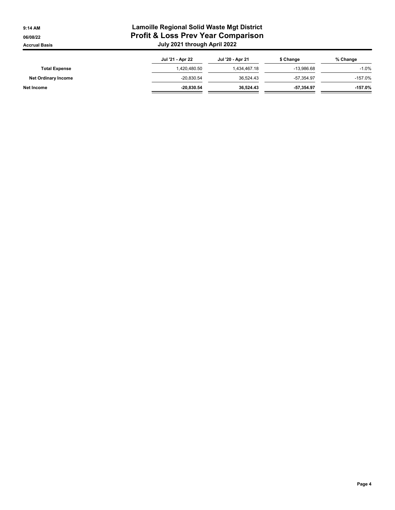|                            | Jul '21 - Apr 22 | Jul '20 - Apr 21 | \$ Change    | % Change  |
|----------------------------|------------------|------------------|--------------|-----------|
| <b>Total Expense</b>       | 1,420,480.50     | 1,434,467.18     | -13.986.68   | $-1.0%$   |
| <b>Net Ordinary Income</b> | $-20.830.54$     | 36.524.43        | -57.354.97   | $-157.0%$ |
| Net Income                 | $-20.830.54$     | 36.524.43        | $-57.354.97$ | $-157.0%$ |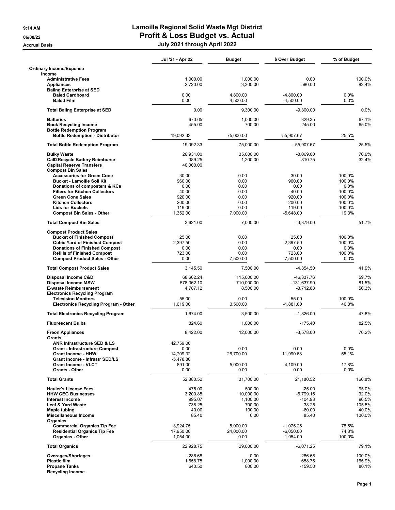|                                                                                                                    | Jul '21 - Apr 22       | <b>Budget</b>          | \$ Over Budget             | % of Budget      |
|--------------------------------------------------------------------------------------------------------------------|------------------------|------------------------|----------------------------|------------------|
| <b>Ordinary Income/Expense</b><br>Income                                                                           |                        |                        |                            |                  |
| <b>Administrative Fees</b><br><b>Appliances</b><br><b>Baling Enterprise at SED</b>                                 | 1,000.00<br>2,720.00   | 1,000.00<br>3,300.00   | 0.00<br>$-580.00$          | 100.0%<br>82.4%  |
| <b>Baled Cardboard</b><br><b>Baled Film</b>                                                                        | 0.00<br>0.00           | 4,800.00<br>4,500.00   | $-4,800.00$<br>$-4,500.00$ | 0.0%<br>0.0%     |
| <b>Total Baling Enterprise at SED</b>                                                                              | 0.00                   | 9,300.00               | $-9,300.00$                | 0.0%             |
| <b>Batteries</b>                                                                                                   | 670.65                 | 1,000.00               | $-329.35$                  | 67.1%<br>65.0%   |
| <b>Book Recycling Income</b><br><b>Bottle Redemption Program</b><br><b>Bottle Redemption - Distributor</b>         | 455.00<br>19,092.33    | 700.00<br>75,000.00    | $-245.00$<br>-55,907.67    | 25.5%            |
| <b>Total Bottle Redemption Program</b>                                                                             | 19,092.33              | 75,000.00              | $-55,907.67$               | 25.5%            |
| <b>Bulky Waste</b>                                                                                                 | 26,931.00              | 35,000.00              | $-8,069.00$                | 76.9%            |
| <b>Call2Recycle Battery Reimburse</b><br><b>Capital Reserve Transfers</b><br><b>Compost Bin Sales</b>              | 389.25<br>40,000.00    | 1,200.00               | $-810.75$                  | 32.4%            |
| <b>Accessories for Green Cone</b>                                                                                  | 30.00                  | 0.00                   | 30.00                      | 100.0%           |
| <b>Bucket - Lamoille Soil Kit</b><br>Donations of composters & KCs                                                 | 960.00<br>0.00         | 0.00<br>0.00           | 960.00<br>0.00             | 100.0%<br>0.0%   |
| <b>Filters for Kitchen Collectors</b>                                                                              | 40.00                  | 0.00                   | 40.00                      | 100.0%           |
| <b>Green Cone Sales</b>                                                                                            | 920.00                 | 0.00                   | 920.00                     | 100.0%           |
| <b>Kitchen Collectors</b><br><b>Lids for Buckets</b>                                                               | 200.00<br>119.00       | 0.00<br>0.00           | 200.00<br>119.00           | 100.0%<br>100.0% |
| <b>Compost Bin Sales - Other</b>                                                                                   | 1,352.00               | 7,000.00               | $-5,648.00$                | 19.3%            |
| <b>Total Compost Bin Sales</b>                                                                                     | 3,621.00               | 7,000.00               | $-3,379.00$                | 51.7%            |
| <b>Compost Product Sales</b>                                                                                       | 25.00                  |                        | 25.00                      |                  |
| <b>Bucket of Finished Compost</b><br><b>Cubic Yard of Finished Compost</b>                                         | 2,397.50               | 0.00<br>0.00           | 2,397.50                   | 100.0%<br>100.0% |
| <b>Donations of Finished Compost</b>                                                                               | 0.00                   | 0.00                   | 0.00                       | $0.0\%$          |
| <b>Refills of Finished Compost</b><br><b>Compost Product Sales - Other</b>                                         | 723.00<br>0.00         | 0.00<br>7,500.00       | 723.00<br>$-7,500.00$      | 100.0%<br>0.0%   |
| <b>Total Compost Product Sales</b>                                                                                 | 3,145.50               | 7,500.00               | $-4,354.50$                | 41.9%            |
| Disposal Income C&D                                                                                                | 68,662.24              | 115,000.00             | -46,337.76                 | 59.7%            |
| <b>Disposal Income MSW</b><br><b>E-waste Reimbursement</b>                                                         | 578,362.10<br>4,787.12 | 710,000.00<br>8,500.00 | -131,637.90<br>$-3,712.88$ | 81.5%<br>56.3%   |
| <b>Electronics Recycling Program</b><br><b>Television Monitors</b><br><b>Electronics Recycling Program - Other</b> | 55.00<br>1,619.00      | 0.00<br>3,500.00       | 55.00<br>$-1,881.00$       | 100.0%<br>46.3%  |
| <b>Total Electronics Recycling Program</b>                                                                         | 1.674.00               | 3,500.00               | $-1,826.00$                | 47.8%            |
| <b>Fluorescent Bulbs</b>                                                                                           | 824.60                 | 1,000.00               | $-175.40$                  | 82.5%            |
| <b>Freon Appliances</b>                                                                                            | 8,422.00               | 12,000.00              | $-3,578.00$                | 70.2%            |
| Grants                                                                                                             |                        |                        |                            |                  |
| ANR Infrastructure SED & LS<br><b>Grant - Infrastructure Compost</b>                                               | 42,759.00<br>0.00      | 0.00                   | 0.00                       | 0.0%             |
| <b>Grant Income - HHW</b>                                                                                          | 14,709.32              | 26,700.00              | $-11,990.68$               | 55.1%            |
| <b>Grant Income - Infrastr SED/LS</b>                                                                              | $-5,478.80$            |                        |                            |                  |
| <b>Grant Income - VLCT</b><br><b>Grants - Other</b>                                                                | 891.00<br>0.00         | 5,000.00<br>0.00       | $-4,109.00$<br>0.00        | 17.8%<br>0.0%    |
| <b>Total Grants</b>                                                                                                | 52,880.52              | 31,700.00              | 21,180.52                  | 166.8%           |
| <b>Hauler's License Fees</b>                                                                                       | 475.00                 | 500.00                 | $-25.00$                   | 95.0%            |
| <b>HHW CEG Businesses</b><br><b>Interest Income</b>                                                                | 3,200.85<br>995.07     | 10,000.00              | $-6.799.15$                | 32.0%            |
| Leaf & Yard Waste                                                                                                  | 738.25                 | 1,100.00<br>700.00     | $-104.93$<br>38.25         | 90.5%<br>105.5%  |
| <b>Maple tubing</b>                                                                                                | 40.00                  | 100.00                 | $-60.00$                   | 40.0%            |
| Miscellaneous Income<br>Organics                                                                                   | 85.40                  | 0.00                   | 85.40                      | 100.0%           |
| <b>Commercial Organics Tip Fee</b>                                                                                 | 3,924.75               | 5,000.00               | $-1,075.25$                | 78.5%            |
| <b>Residential Organics Tip Fee</b><br><b>Organics - Other</b>                                                     | 17,950.00<br>1,054.00  | 24,000.00<br>0.00      | $-6,050.00$<br>1,054.00    | 74.8%<br>100.0%  |
| <b>Total Organics</b>                                                                                              | 22,928.75              | 29,000.00              | $-6,071.25$                | 79.1%            |
| Overages/Shortages                                                                                                 | $-286.68$              | 0.00                   | $-286.68$                  | 100.0%           |
| <b>Plastic film</b><br><b>Propane Tanks</b>                                                                        | 1,658.75<br>640.50     | 1,000.00<br>800.00     | 658.75<br>$-159.50$        | 165.9%<br>80.1%  |
| <b>Recycling Income</b>                                                                                            |                        |                        |                            |                  |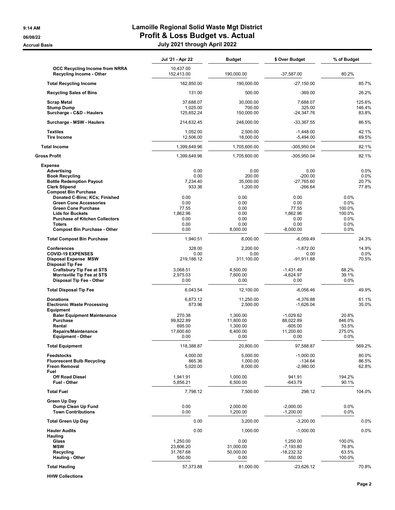|                                                                                                                                                                                                                          | Jul '21 - Apr 22                                          | Budget                                                   | \$ Over Budget                                                   | % of Budget                                                 |                                |
|--------------------------------------------------------------------------------------------------------------------------------------------------------------------------------------------------------------------------|-----------------------------------------------------------|----------------------------------------------------------|------------------------------------------------------------------|-------------------------------------------------------------|--------------------------------|
| <b>OCC Recycling Income from NRRA</b><br>Recycling Income - Other                                                                                                                                                        | 10,437.00<br>152,413.00                                   | 190,000.00                                               | $-37,587.00$                                                     | 80.2%                                                       |                                |
| <b>Total Recycling Income</b>                                                                                                                                                                                            | 162,850.00                                                | 190,000.00                                               | $-27,150.00$                                                     |                                                             | 85.7%                          |
| <b>Recycling Sales of Bins</b>                                                                                                                                                                                           | 131.00                                                    | 500.00                                                   | $-369.00$                                                        |                                                             | 26.2%                          |
| <b>Scrap Metal</b>                                                                                                                                                                                                       | 37,688.07                                                 | 30,000.00                                                | 7,688.07                                                         |                                                             | 125.6%                         |
| <b>Stump Dump</b><br>Surcharge - C&D - Haulers                                                                                                                                                                           | 1,025.00<br>125,652.24                                    | 700.00<br>150,000.00                                     | 325.00<br>$-24,347.76$                                           |                                                             | 146.4%<br>83.8%                |
| Surcharge - MSW - Haulers                                                                                                                                                                                                | 214,632.45                                                | 248,000.00                                               | $-33,367.55$                                                     |                                                             | 86.5%                          |
| <b>Textiles</b><br><b>Tire Income</b>                                                                                                                                                                                    | 1,052.00<br>12,506.00                                     | 2,500.00<br>18,000.00                                    | $-1,448.00$<br>$-5,494.00$                                       |                                                             | 42.1%<br>69.5%                 |
| <b>Total Income</b>                                                                                                                                                                                                      | 1,399,649.96                                              | 1,705,600.00                                             | -305,950.04                                                      |                                                             | 82.1%                          |
| Gross Profit                                                                                                                                                                                                             | 1,399,649.96                                              | 1,705,600.00                                             | $-305,950.04$                                                    |                                                             | 82.1%                          |
| <b>Expense</b><br>Advertising<br><b>Book Recycling</b><br><b>Bottle Redemption Payout</b><br><b>Clerk Stipend</b><br><b>Compost Bin Purchase</b>                                                                         | 0.00<br>0.00<br>7,234.40<br>933.36                        | 0.00<br>200.00<br>35,000.00<br>1,200.00                  | 0.00<br>$-200.00$<br>$-27,765.60$<br>$-266.64$                   |                                                             | 0.0%<br>0.0%<br>20.7%<br>77.8% |
| Donated C-Bins; KCs; Finished<br><b>Green Cone Accessories</b><br><b>Green Cone Purchase</b><br><b>Lids for Buckets</b><br><b>Purchase of Kitchen Collectors</b><br><b>Toters</b><br><b>Compost Bin Purchase - Other</b> | 0.00<br>0.00<br>77.55<br>1,862.96<br>0.00<br>0.00<br>0.00 | 0.00<br>0.00<br>0.00<br>0.00<br>0.00<br>0.00<br>8,000.00 | 0.00<br>0.00<br>77.55<br>1,862.96<br>0.00<br>0.00<br>$-8,000.00$ | 0.0%<br>$0.0\%$<br>100.0%<br>100.0%<br>0.0%<br>0.0%<br>0.0% |                                |
| <b>Total Compost Bin Purchase</b>                                                                                                                                                                                        | 1.940.51                                                  | 8,000.00                                                 | $-6,059.49$                                                      |                                                             | 24.3%                          |
| <b>Conferences</b><br><b>COVID-19 EXPENSES</b><br><b>Disposal Expense MSW</b><br><b>Disposal Tip Fee</b>                                                                                                                 | 328.00<br>0.00<br>219,188.12                              | 2,200.00<br>0.00<br>311,100.00                           | $-1,872.00$<br>0.00<br>$-91,911.88$                              |                                                             | 14.9%<br>0.0%<br>70.5%         |
| <b>Craftsbury Tip Fee at STS</b><br>Morrisville Tip Fee at STS<br>Disposal Tip Fee - Other                                                                                                                               | 3,068.51<br>2,975.03<br>0.00                              | 4,500.00<br>7,600.00<br>0.00                             | $-1,431.49$<br>-4,624.97<br>0.00                                 | 68.2%<br>39.1%<br>0.0%                                      |                                |
| <b>Total Disposal Tip Fee</b>                                                                                                                                                                                            | 6,043.54                                                  | 12,100.00                                                | $-6,056.46$                                                      |                                                             | 49.9%                          |
| <b>Donations</b><br><b>Electronic Waste Processing</b><br><b>Equipment</b><br><b>Baler Equipment Maintenance</b>                                                                                                         | 6,873.12<br>873.96<br>270.38                              | 11,250.00<br>2,500.00<br>1.300.00                        | $-4,376.88$<br>$-1,626.04$<br>$-1,029.62$                        | 20.8%                                                       | 61.1%<br>35.0%                 |
| <b>Purchase</b><br>Rental<br><b>Repairs/Maintenance</b><br><b>Equipment - Other</b>                                                                                                                                      | 99.822.89<br>695.00<br>17,600.60<br>0.00                  | 11,800.00<br>1,300.00<br>6,400.00<br>0.00                | 88,022.89<br>$-605.00$<br>11,200.60<br>0.00                      | 846.0%<br>53.5%<br>275.0%<br>0.0%                           |                                |
| <b>Total Equipment</b>                                                                                                                                                                                                   | 118,388.87                                                | 20,800.00                                                | 97,588.87                                                        |                                                             | 569.2%                         |
| <b>Feedstocks</b><br><b>Fluorescent Bulb Recycling</b><br><b>Freon Removal</b><br>Fuel                                                                                                                                   | 4,000.00<br>865.36<br>5,020.00                            | 5,000.00<br>1,000.00<br>8,000.00                         | $-1,000.00$<br>$-134.64$<br>$-2,980.00$                          |                                                             | 80.0%<br>86.5%<br>62.8%        |
| <b>Off Road Diesel</b><br>Fuel - Other                                                                                                                                                                                   | 1,941.91<br>5,856.21                                      | 1,000.00<br>6,500.00                                     | 941.91<br>$-643.79$                                              | 194.2%<br>90.1%                                             |                                |
| <b>Total Fuel</b>                                                                                                                                                                                                        | 7,798.12                                                  | 7,500.00                                                 | 298.12                                                           |                                                             | 104.0%                         |
| Green Up Day<br>Dump Clean Up Fund<br><b>Town Contributions</b>                                                                                                                                                          | 0.00<br>0.00                                              | 2,000.00<br>1,200.00                                     | $-2,000.00$<br>$-1,200.00$                                       | 0.0%<br>0.0%                                                |                                |
| <b>Total Green Up Day</b>                                                                                                                                                                                                | 0.00                                                      | 3,200.00                                                 | $-3,200.00$                                                      |                                                             | $0.0\%$                        |
| <b>Hauler Audits</b><br><b>Hauling</b><br>Glass<br><b>MSW</b>                                                                                                                                                            | 0.00<br>1,250.00<br>23,806.20                             | 1,000.00<br>0.00<br>31,000.00                            | $-1,000.00$<br>1,250.00<br>$-7,193.80$                           | 100.0%<br>76.8%                                             | 0.0%                           |
| Recycling<br><b>Hauling - Other</b>                                                                                                                                                                                      | 31,767.68<br>550.00                                       | 50,000.00<br>0.00                                        | -18,232.32<br>550.00                                             | 63.5%<br>100.0%                                             |                                |
| <b>Total Hauling</b>                                                                                                                                                                                                     | 57,373.88                                                 | 81,000.00                                                | $-23,626.12$                                                     |                                                             | 70.8%                          |

**HHW Collections**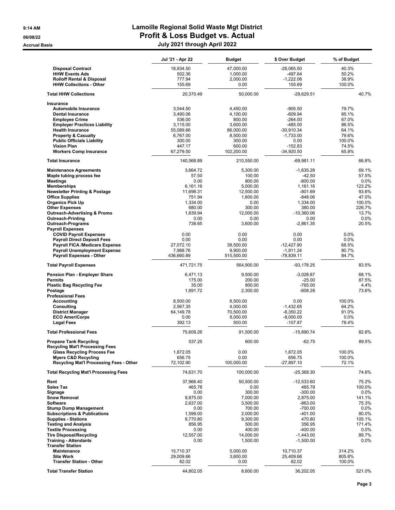|                                                          | Jul '21 - Apr 22     | <b>Budget</b>      | \$ Over Budget           | % of Budget      |
|----------------------------------------------------------|----------------------|--------------------|--------------------------|------------------|
| <b>Disposal Contract</b>                                 | 18,934.50            | 47,000.00          | -28,065.50               | 40.3%            |
| <b>HHW Events Ads</b>                                    | 502.36               | 1,000.00           | -497.64                  | 50.2%            |
| <b>Rolloff Rental &amp; Disposal</b>                     | 777.94               | 2,000.00           | $-1,222.06$              | 38.9%            |
| <b>HHW Collections - Other</b>                           | 155.69               | 0.00               | 155.69                   | 100.0%           |
| <b>Total HHW Collections</b>                             | 20.370.49            | 50.000.00          | $-29,629.51$             | 40.7%            |
| <b>Insurance</b>                                         |                      |                    |                          |                  |
| Automobile Insurance<br><b>Dental Insurance</b>          | 3,544.50<br>3,490.06 | 4,450.00           | $-905.50$<br>$-609.94$   | 79.7%<br>85.1%   |
| <b>Employee Crime</b>                                    | 536.00               | 4,100.00<br>800.00 | $-264.00$                | 67.0%            |
| <b>Employer Practices Liability</b>                      | 3,115.00             | 3,600.00           | $-485.00$                | 86.5%            |
| <b>Health Insurance</b>                                  | 55,089.66            | 86.000.00          | -30,910.34               | 64.1%            |
| <b>Property &amp; Casualty</b>                           | 6,767.00             | 8,500.00           | $-1,733.00$              | 79.6%            |
| <b>Public Officials Liability</b>                        | 300.00               | 300.00             | 0.00                     | 100.0%           |
| <b>Vision Plan</b>                                       | 447.17               | 600.00             | $-152.83$                | 74.5%            |
| <b>Workers Comp Insurance</b>                            | 67,279.50            | 102,200.00         | $-34,920.50$             | 65.8%            |
| <b>Total Insurance</b>                                   | 140,568.89           | 210,550.00         | $-69,981.11$             | 66.8%            |
| <b>Maintenance Agreements</b>                            | 3,664.72             | 5,300.00           | $-1,635.28$              | 69.1%            |
| Maple tubing process fee<br><b>Meetings</b>              | 57.50<br>0.00        | 100.00<br>800.00   | $-42.50$<br>$-800.00$    | 57.5%<br>0.0%    |
| <b>Memberships</b>                                       | 6,161.16             | 5,000.00           | 1,161.16                 | 123.2%           |
| <b>Newsletter Printing &amp; Postage</b>                 | 11,698.31            | 12,500.00          | $-801.69$                | 93.6%            |
| <b>Office Supplies</b>                                   | 751.94               | 1,600.00           | $-848.06$                | 47.0%            |
| <b>Organics Pick Up</b>                                  | 1,334.00             | 0.00               | 1,334.00                 | 100.0%           |
| <b>Other Expenses</b>                                    | 680.00               | 300.00             | 380.00                   | 226.7%           |
| <b>Outreach-Advertising &amp; Promo</b>                  | 1,639.94             | 12,000.00          | $-10,360.06$             | 13.7%            |
| <b>Outreach-Printing</b><br><b>Outreach-Programs</b>     | 0.00<br>738.65       | 0.00<br>3.600.00   | 0.00<br>$-2,861.35$      | 0.0%<br>20.5%    |
| <b>Payroll Expenses</b>                                  |                      |                    |                          |                  |
| <b>COVID Payroll Expenses</b>                            | 0.00                 | 0.00               | 0.00                     | 0.0%             |
| <b>Payroll Direct Deposit Fees</b>                       | 0.00                 | 0.00               | 0.00                     | 0.0%             |
| Payroll FICA /Medicare Expense                           | 27,072.10            | 39,500.00          | $-12,427.90$             | 68.5%            |
| <b>Payroll Unemployment Expense</b>                      | 7,988.76             | 9,900.00           | $-1,911.24$              | 80.7%            |
| <b>Payroll Expenses - Other</b>                          | 436,660.89           | 515,500.00         | $-78,839.11$             | 84.7%            |
| <b>Total Payroll Expenses</b>                            | 471,721.75           | 564,900.00         | $-93,178.25$             | 83.5%            |
| Pension Plan - Employer Share<br><b>Permits</b>          | 6,471.13<br>175.00   | 9,500.00<br>200.00 | $-3,028.87$<br>$-25.00$  | 68.1%<br>87.5%   |
| <b>Plastic Bag Recycling Fee</b>                         | 35.00                | 800.00             | $-765.00$                | 4.4%             |
| Postage                                                  | 1,691.72             | 2,300.00           | $-608.28$                | 73.6%            |
| <b>Professional Fees</b>                                 |                      |                    |                          |                  |
| <b>Accounting</b>                                        | 8,500.00             | 8,500.00           | 0.00                     | 100.0%           |
| Consulting                                               | 2,567.35             | 4,000.00           | $-1,432.65$              | 64.2%            |
| <b>District Manager</b>                                  | 64,149.78            | 70,500.00          | $-6.350.22$              | 91.0%            |
| <b>ECO AmeriCorps</b><br><b>Legal Fees</b>               | 0.00<br>392.13       | 8,000.00<br>500.00 | $-8,000.00$<br>$-107.87$ | $0.0\%$<br>78.4% |
| <b>Total Professional Fees</b>                           | 75,609.26            | 91,500.00          | $-15,890.74$             | 82.6%            |
| <b>Propane Tank Recycling</b>                            | 537.25               | 600.00             | $-62.75$                 | 89.5%            |
| <b>Recycling Mat'l Processing Fees</b>                   |                      |                    |                          |                  |
| <b>Glass Recycling Process Fee</b>                       | 1,872.05             | 0.00               | 1,872.05                 | 100.0%           |
| <b>Myers C&amp;D Recycling</b>                           | 656.75               | 0.00               | 656.75                   | 100.0%           |
| Recycling Mat'l Processing Fees - Other                  | 72,102.90            | 100,000.00         | -27,897.10               | 72.1%            |
| <b>Total Recycling Mat'l Processing Fees</b>             | 74,631.70            | 100,000.00         | $-25,368.30$             | 74.6%            |
| Rent<br><b>Sales Tax</b>                                 | 37,966.40<br>465.78  | 50,500.00          | $-12,533.60$<br>465.78   | 75.2%<br>100.0%  |
| Signage                                                  | 0.00                 | 0.00<br>300.00     | $-300.00$                | 0.0%             |
| <b>Snow Removal</b>                                      | 9,875.00             | 7,000.00           | 2,875.00                 | 141.1%           |
| <b>Software</b>                                          | 2,637.00             | 3,500.00           | $-863.00$                | 75.3%            |
| <b>Stump Dump Management</b>                             | 0.00                 | 700.00             | $-700.00$                | 0.0%             |
| <b>Subscriptions &amp; Publications</b>                  | 1,599.00             | 2,000.00           | $-401.00$                | 80.0%            |
| <b>Supplies - Stations</b>                               | 9,770.80             | 9,300.00<br>500.00 | 470.80                   | 105.1%           |
| <b>Testing and Analysis</b><br><b>Textile Processing</b> | 856.95<br>0.00       | 400.00             | 356.95<br>$-400.00$      | 171.4%<br>0.0%   |
| <b>Tire Disposal/Recycling</b>                           | 12,557.00            | 14,000.00          | $-1,443.00$              | 89.7%            |
| <b>Training - Attendants</b>                             | 0.00                 | 1,500.00           | $-1,500.00$              | 0.0%             |
| <b>Transfer Station</b>                                  |                      |                    |                          |                  |
| Maintenance                                              | 15,710.37            | 5,000.00           | 10,710.37                | 314.2%           |
| <b>Site Work</b><br><b>Transfer Station - Other</b>      | 29,009.66<br>82.02   | 3,600.00<br>0.00   | 25,409.66<br>82.02       | 805.8%<br>100.0% |
|                                                          |                      |                    |                          |                  |
| <b>Total Transfer Station</b>                            | 44,802.05            | 8,600.00           | 36,202.05                | 521.0%           |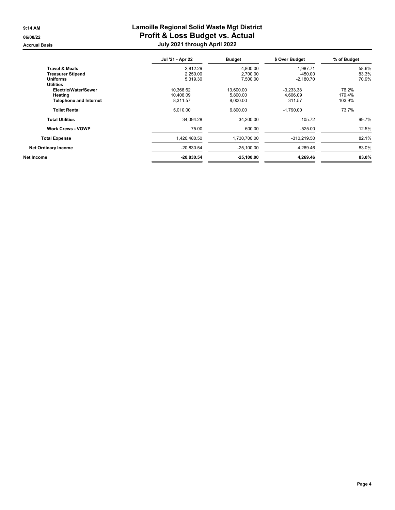|                               | Jul '21 - Apr 22 | <b>Budget</b> | \$ Over Budget | % of Budget |  |
|-------------------------------|------------------|---------------|----------------|-------------|--|
| <b>Travel &amp; Meals</b>     | 2.812.29         | 4.800.00      | $-1.987.71$    | 58.6%       |  |
| <b>Treasurer Stipend</b>      | 2,250.00         | 2,700.00      | $-450.00$      | 83.3%       |  |
| <b>Uniforms</b>               | 5,319.30         | 7,500.00      | $-2,180.70$    | 70.9%       |  |
| <b>Utilities</b>              |                  |               |                |             |  |
| Electric/Water/Sewer          | 10,366.62        | 13,600.00     | $-3,233.38$    | 76.2%       |  |
| Heating                       | 10.406.09        | 5,800.00      | 4.606.09       | 179.4%      |  |
| <b>Telephone and Internet</b> | 8,311.57         | 8,000.00      | 311.57         | 103.9%      |  |
| <b>Toilet Rental</b>          | 5,010.00         | 6,800.00      | $-1,790.00$    | 73.7%       |  |
| <b>Total Utilities</b>        | 34,094.28        | 34,200.00     | $-105.72$      | 99.7%       |  |
| <b>Work Crews - VOWP</b>      | 75.00            | 600.00        | $-525.00$      | 12.5%       |  |
| <b>Total Expense</b>          | 1,420,480.50     | 1,730,700.00  | $-310,219.50$  | 82.1%       |  |
| <b>Net Ordinary Income</b>    | $-20,830.54$     | $-25,100.00$  | 4,269.46       | 83.0%       |  |
| Net Income                    | $-20,830.54$     | $-25,100.00$  | 4,269.46       | 83.0%       |  |
|                               |                  |               |                |             |  |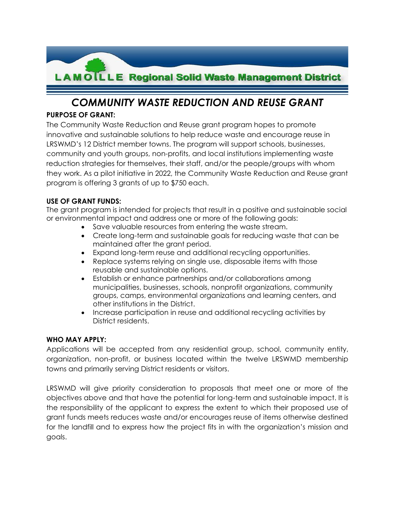

# *COMMUNITY WASTE REDUCTION AND REUSE GRANT*

# **PURPOSE OF GRANT:**

The Community Waste Reduction and Reuse grant program hopes to promote innovative and sustainable solutions to help reduce waste and encourage reuse in LRSWMD's 12 District member towns. The program will support schools, businesses, community and youth groups, non-profits, and local institutions implementing waste reduction strategies for themselves, their staff, and/or the people/groups with whom they work. As a pilot initiative in 2022, the Community Waste Reduction and Reuse grant program is offering 3 grants of up to \$750 each.

# **USE OF GRANT FUNDS:**

The grant program is intended for projects that result in a positive and sustainable social or environmental impact and address one or more of the following goals:

- Save valuable resources from entering the waste stream.
- Create long-term and sustainable goals for reducing waste that can be maintained after the grant period.
- Expand long-term reuse and additional recycling opportunities.
- Replace systems relying on single use, disposable items with those reusable and sustainable options.
- Establish or enhance partnerships and/or collaborations among municipalities, businesses, schools, nonprofit organizations, community groups, camps, environmental organizations and learning centers, and other institutions in the District.
- Increase participation in reuse and additional recycling activities by District residents.

# **WHO MAY APPLY:**

Applications will be accepted from any residential group, school, community entity, organization, non-profit, or business located within the twelve LRSWMD membership towns and primarily serving District residents or visitors.

LRSWMD will give priority consideration to proposals that meet one or more of the objectives above and that have the potential for long-term and sustainable impact. It is the responsibility of the applicant to express the extent to which their proposed use of grant funds meets reduces waste and/or encourages reuse of items otherwise destined for the landfill and to express how the project fits in with the organization's mission and goals.